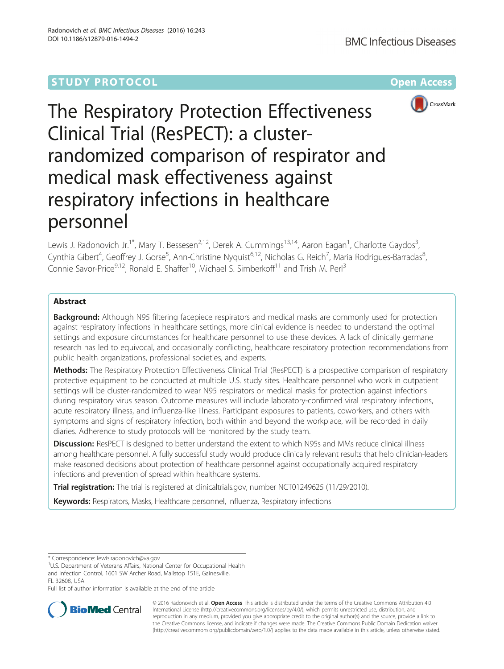# **STUDY PROTOCOL CONSUMING THE RESERVE ACCESS**



# The Respiratory Protection Effectiveness Clinical Trial (ResPECT): a clusterrandomized comparison of respirator and medical mask effectiveness against respiratory infections in healthcare personnel

Lewis J. Radonovich Jr.<sup>1\*</sup>, Mary T. Bessesen<sup>2,12</sup>, Derek A. Cummings<sup>13,14</sup>, Aaron Eagan<sup>1</sup>, Charlotte Gaydos<sup>3</sup> , Cynthia Gibert<sup>4</sup>, Geoffrey J. Gorse<sup>5</sup>, Ann-Christine Nyquist<sup>6,12</sup>, Nicholas G. Reich<sup>7</sup>, Maria Rodrigues-Barradas<sup>8</sup> , Connie Savor-Price<sup>9,12</sup>, Ronald E. Shaffer<sup>10</sup>, Michael S. Simberkoff<sup>11</sup> and Trish M. Perl<sup>3</sup>

# Abstract

**Background:** Although N95 filtering facepiece respirators and medical masks are commonly used for protection against respiratory infections in healthcare settings, more clinical evidence is needed to understand the optimal settings and exposure circumstances for healthcare personnel to use these devices. A lack of clinically germane research has led to equivocal, and occasionally conflicting, healthcare respiratory protection recommendations from public health organizations, professional societies, and experts.

Methods: The Respiratory Protection Effectiveness Clinical Trial (ResPECT) is a prospective comparison of respiratory protective equipment to be conducted at multiple U.S. study sites. Healthcare personnel who work in outpatient settings will be cluster-randomized to wear N95 respirators or medical masks for protection against infections during respiratory virus season. Outcome measures will include laboratory-confirmed viral respiratory infections, acute respiratory illness, and influenza-like illness. Participant exposures to patients, coworkers, and others with symptoms and signs of respiratory infection, both within and beyond the workplace, will be recorded in daily diaries. Adherence to study protocols will be monitored by the study team.

**Discussion:** ResPECT is designed to better understand the extent to which N95s and MMs reduce clinical illness among healthcare personnel. A fully successful study would produce clinically relevant results that help clinician-leaders make reasoned decisions about protection of healthcare personnel against occupationally acquired respiratory infections and prevention of spread within healthcare systems.

Trial registration: The trial is registered at clinicaltrials.gov, number [NCT01249625](https://clinicaltrials.gov/ct2/show/study/NCT01249625) (11/29/2010).

Keywords: Respirators, Masks, Healthcare personnel, Influenza, Respiratory infections

Full list of author information is available at the end of the article



© 2016 Radonovich et al. Open Access This article is distributed under the terms of the Creative Commons Attribution 4.0 International License [\(http://creativecommons.org/licenses/by/4.0/](http://creativecommons.org/licenses/by/4.0/)), which permits unrestricted use, distribution, and reproduction in any medium, provided you give appropriate credit to the original author(s) and the source, provide a link to the Creative Commons license, and indicate if changes were made. The Creative Commons Public Domain Dedication waiver [\(http://creativecommons.org/publicdomain/zero/1.0/](http://creativecommons.org/publicdomain/zero/1.0/)) applies to the data made available in this article, unless otherwise stated.

<sup>\*</sup> Correspondence: [lewis.radonovich@va.gov](mailto:lewis.radonovich@va.gov) <sup>1</sup>

<sup>&</sup>lt;sup>1</sup>U.S. Department of Veterans Affairs, National Center for Occupational Health and Infection Control, 1601 SW Archer Road, Mailstop 151E, Gainesville, FL 32608, USA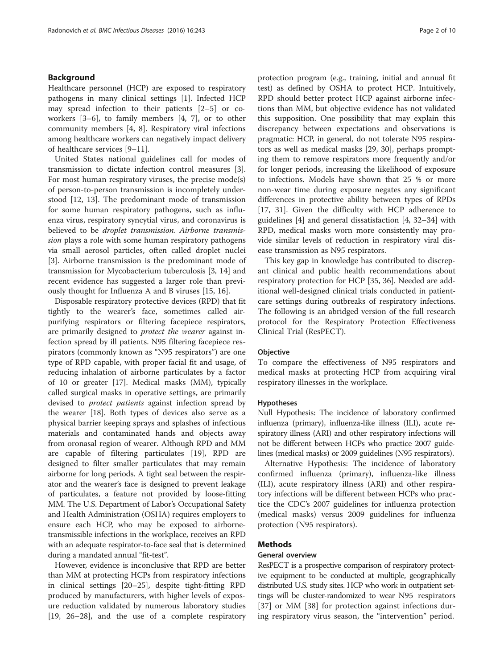# Background

Healthcare personnel (HCP) are exposed to respiratory pathogens in many clinical settings [\[1](#page-8-0)]. Infected HCP may spread infection to their patients [\[2](#page-8-0)–[5\]](#page-8-0) or coworkers [[3](#page-8-0)–[6](#page-8-0)], to family members [[4](#page-8-0), [7\]](#page-8-0), or to other community members [[4, 8\]](#page-8-0). Respiratory viral infections among healthcare workers can negatively impact delivery of healthcare services [[9](#page-8-0)–[11](#page-8-0)].

United States national guidelines call for modes of transmission to dictate infection control measures [\[3](#page-8-0)]. For most human respiratory viruses, the precise mode(s) of person-to-person transmission is incompletely understood [\[12](#page-8-0), [13](#page-8-0)]. The predominant mode of transmission for some human respiratory pathogens, such as influenza virus, respiratory syncytial virus, and coronavirus is believed to be droplet transmission. Airborne transmission plays a role with some human respiratory pathogens via small aerosol particles, often called droplet nuclei [[3\]](#page-8-0). Airborne transmission is the predominant mode of transmission for Mycobacterium tuberculosis [\[3](#page-8-0), [14](#page-8-0)] and recent evidence has suggested a larger role than previously thought for Influenza A and B viruses [\[15](#page-8-0), [16\]](#page-8-0).

Disposable respiratory protective devices (RPD) that fit tightly to the wearer's face, sometimes called airpurifying respirators or filtering facepiece respirators, are primarily designed to protect the wearer against infection spread by ill patients. N95 filtering facepiece respirators (commonly known as "N95 respirators") are one type of RPD capable, with proper facial fit and usage, of reducing inhalation of airborne particulates by a factor of 10 or greater [\[17\]](#page-8-0). Medical masks (MM), typically called surgical masks in operative settings, are primarily devised to *protect patients* against infection spread by the wearer [[18\]](#page-8-0). Both types of devices also serve as a physical barrier keeping sprays and splashes of infectious materials and contaminated hands and objects away from oronasal region of wearer. Although RPD and MM are capable of filtering particulates [[19\]](#page-8-0), RPD are designed to filter smaller particulates that may remain airborne for long periods. A tight seal between the respirator and the wearer's face is designed to prevent leakage of particulates, a feature not provided by loose-fitting MM. The U.S. Department of Labor's Occupational Safety and Health Administration (OSHA) requires employers to ensure each HCP, who may be exposed to airbornetransmissible infections in the workplace, receives an RPD with an adequate respirator-to-face seal that is determined during a mandated annual "fit-test".

However, evidence is inconclusive that RPD are better than MM at protecting HCPs from respiratory infections in clinical settings [[20](#page-8-0)–[25](#page-8-0)], despite tight-fitting RPD produced by manufacturers, with higher levels of exposure reduction validated by numerous laboratory studies [[19, 26](#page-8-0)–[28\]](#page-8-0), and the use of a complete respiratory protection program (e.g., training, initial and annual fit test) as defined by OSHA to protect HCP. Intuitively, RPD should better protect HCP against airborne infections than MM, but objective evidence has not validated this supposition. One possibility that may explain this discrepancy between expectations and observations is pragmatic: HCP, in general, do not tolerate N95 respirators as well as medical masks [[29, 30](#page-8-0)], perhaps prompting them to remove respirators more frequently and/or for longer periods, increasing the likelihood of exposure to infections. Models have shown that 25 % or more non-wear time during exposure negates any significant differences in protective ability between types of RPDs [[17, 31](#page-8-0)]. Given the difficulty with HCP adherence to guidelines [\[4](#page-8-0)] and general dissatisfaction [\[4](#page-8-0), [32](#page-8-0)–[34](#page-8-0)] with RPD, medical masks worn more consistently may provide similar levels of reduction in respiratory viral disease transmission as N95 respirators.

This key gap in knowledge has contributed to discrepant clinical and public health recommendations about respiratory protection for HCP [[35](#page-9-0), [36](#page-9-0)]. Needed are additional well-designed clinical trials conducted in patientcare settings during outbreaks of respiratory infections. The following is an abridged version of the full research protocol for the Respiratory Protection Effectiveness Clinical Trial (ResPECT).

# **Objective**

To compare the effectiveness of N95 respirators and medical masks at protecting HCP from acquiring viral respiratory illnesses in the workplace.

#### Hypotheses

Null Hypothesis: The incidence of laboratory confirmed influenza (primary), influenza-like illness (ILI), acute respiratory illness (ARI) and other respiratory infections will not be different between HCPs who practice 2007 guidelines (medical masks) or 2009 guidelines (N95 respirators).

Alternative Hypothesis: The incidence of laboratory confirmed influenza (primary), influenza-like illness (ILI), acute respiratory illness (ARI) and other respiratory infections will be different between HCPs who practice the CDC's 2007 guidelines for influenza protection (medical masks) versus 2009 guidelines for influenza protection (N95 respirators).

## Methods

## General overview

ResPECT is a prospective comparison of respiratory protective equipment to be conducted at multiple, geographically distributed U.S. study sites. HCP who work in outpatient settings will be cluster-randomized to wear N95 respirators [[37\]](#page-9-0) or MM [\[38](#page-9-0)] for protection against infections during respiratory virus season, the "intervention" period.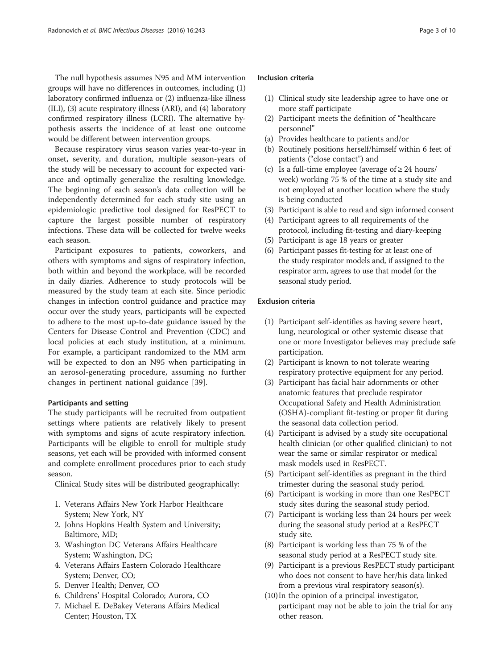The null hypothesis assumes N95 and MM intervention groups will have no differences in outcomes, including (1) laboratory confirmed influenza or (2) influenza-like illness (ILI), (3) acute respiratory illness (ARI), and (4) laboratory confirmed respiratory illness (LCRI). The alternative hypothesis asserts the incidence of at least one outcome would be different between intervention groups.

Because respiratory virus season varies year-to-year in onset, severity, and duration, multiple season-years of the study will be necessary to account for expected variance and optimally generalize the resulting knowledge. The beginning of each season's data collection will be independently determined for each study site using an epidemiologic predictive tool designed for ResPECT to capture the largest possible number of respiratory infections. These data will be collected for twelve weeks each season.

Participant exposures to patients, coworkers, and others with symptoms and signs of respiratory infection, both within and beyond the workplace, will be recorded in daily diaries. Adherence to study protocols will be measured by the study team at each site. Since periodic changes in infection control guidance and practice may occur over the study years, participants will be expected to adhere to the most up-to-date guidance issued by the Centers for Disease Control and Prevention (CDC) and local policies at each study institution, at a minimum. For example, a participant randomized to the MM arm will be expected to don an N95 when participating in an aerosol-generating procedure, assuming no further changes in pertinent national guidance [[39\]](#page-9-0).

## Participants and setting

The study participants will be recruited from outpatient settings where patients are relatively likely to present with symptoms and signs of acute respiratory infection. Participants will be eligible to enroll for multiple study seasons, yet each will be provided with informed consent and complete enrollment procedures prior to each study season.

Clinical Study sites will be distributed geographically:

- 1. Veterans Affairs New York Harbor Healthcare System; New York, NY
- 2. Johns Hopkins Health System and University; Baltimore, MD;
- 3. Washington DC Veterans Affairs Healthcare System; Washington, DC;
- 4. Veterans Affairs Eastern Colorado Healthcare System; Denver, CO;
- 5. Denver Health; Denver, CO
- 6. Childrens' Hospital Colorado; Aurora, CO
- 7. Michael E. DeBakey Veterans Affairs Medical Center; Houston, TX

# Inclusion criteria

- (1) Clinical study site leadership agree to have one or more staff participate
- (2) Participant meets the definition of "healthcare personnel"
- (a) Provides healthcare to patients and/or
- (b) Routinely positions herself/himself within 6 feet of patients ("close contact") and
- (c) Is a full-time employee (average of  $\geq$  24 hours/ week) working 75 % of the time at a study site and not employed at another location where the study is being conducted
- (3) Participant is able to read and sign informed consent
- (4) Participant agrees to all requirements of the protocol, including fit-testing and diary-keeping
- (5) Participant is age 18 years or greater
- (6) Participant passes fit-testing for at least one of the study respirator models and, if assigned to the respirator arm, agrees to use that model for the seasonal study period.

# Exclusion criteria

- (1) Participant self-identifies as having severe heart, lung, neurological or other systemic disease that one or more Investigator believes may preclude safe participation.
- (2) Participant is known to not tolerate wearing respiratory protective equipment for any period.
- (3) Participant has facial hair adornments or other anatomic features that preclude respirator Occupational Safety and Health Administration (OSHA)-compliant fit-testing or proper fit during the seasonal data collection period.
- (4) Participant is advised by a study site occupational health clinician (or other qualified clinician) to not wear the same or similar respirator or medical mask models used in ResPECT.
- (5) Participant self-identifies as pregnant in the third trimester during the seasonal study period.
- (6) Participant is working in more than one ResPECT study sites during the seasonal study period.
- (7) Participant is working less than 24 hours per week during the seasonal study period at a ResPECT study site.
- (8) Participant is working less than 75 % of the seasonal study period at a ResPECT study site.
- (9) Participant is a previous ResPECT study participant who does not consent to have her/his data linked from a previous viral respiratory season(s).
- (10)In the opinion of a principal investigator, participant may not be able to join the trial for any other reason.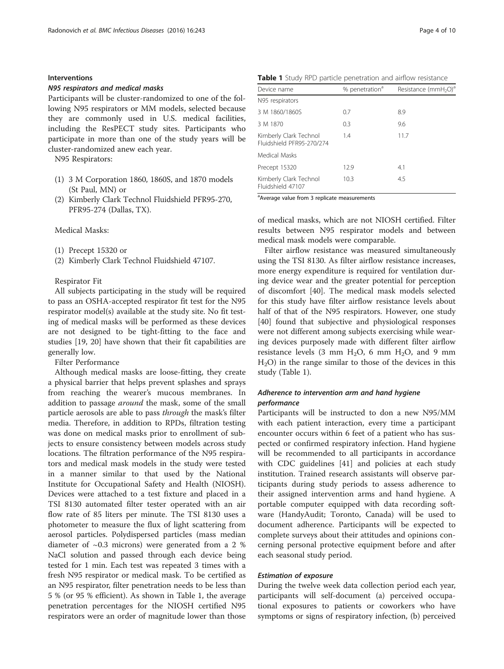# Interventions

#### N95 respirators and medical masks

Participants will be cluster-randomized to one of the following N95 respirators or MM models, selected because they are commonly used in U.S. medical facilities, including the ResPECT study sites. Participants who participate in more than one of the study years will be cluster-randomized anew each year.

N95 Respirators:

- (1) 3 M Corporation 1860, 1860S, and 1870 models (St Paul, MN) or
- (2) Kimberly Clark Technol Fluidshield PFR95-270, PFR95-274 (Dallas, TX).

Medical Masks:

- (1) Precept 15320 or
- (2) Kimberly Clark Technol Fluidshield 47107.

# Respirator Fit

All subjects participating in the study will be required to pass an OSHA-accepted respirator fit test for the N95 respirator model(s) available at the study site. No fit testing of medical masks will be performed as these devices are not designed to be tight-fitting to the face and studies [[19](#page-8-0), [20\]](#page-8-0) have shown that their fit capabilities are generally low.

Filter Performance

Although medical masks are loose-fitting, they create a physical barrier that helps prevent splashes and sprays from reaching the wearer's mucous membranes. In addition to passage *around* the mask, some of the small particle aerosols are able to pass through the mask's filter media. Therefore, in addition to RPDs, filtration testing was done on medical masks prior to enrollment of subjects to ensure consistency between models across study locations. The filtration performance of the N95 respirators and medical mask models in the study were tested in a manner similar to that used by the National Institute for Occupational Safety and Health (NIOSH). Devices were attached to a test fixture and placed in a TSI 8130 automated filter tester operated with an air flow rate of 85 liters per minute. The TSI 8130 uses a photometer to measure the flux of light scattering from aerosol particles. Polydispersed particles (mass median diameter of ~0.3 microns) were generated from a 2 % NaCl solution and passed through each device being tested for 1 min. Each test was repeated 3 times with a fresh N95 respirator or medical mask. To be certified as an N95 respirator, filter penetration needs to be less than 5 % (or 95 % efficient). As shown in Table 1, the average penetration percentages for the NIOSH certified N95 respirators were an order of magnitude lower than those

Table 1 Study RPD particle penetration and airflow resistance

| Device name                                         | % penetration <sup>a</sup> | Resistance (mmH <sub>2</sub> O) <sup>d</sup> |  |  |
|-----------------------------------------------------|----------------------------|----------------------------------------------|--|--|
| N95 respirators                                     |                            |                                              |  |  |
| 3 M 1860/1860S                                      | 0.7                        | 8.9                                          |  |  |
| 3 M 1870                                            | 0.3                        | 9.6                                          |  |  |
| Kimberly Clark Technol<br>Fluidshield PFR95-270/274 | 1.4                        | 11.7                                         |  |  |
| Medical Masks                                       |                            |                                              |  |  |
| Precept 15320                                       | 12.9                       | 4.1                                          |  |  |
| Kimberly Clark Technol<br>Fluidshield 47107         | 10.3                       | 4.5                                          |  |  |

<sup>a</sup> Average value from 3 replicate measurements

of medical masks, which are not NIOSH certified. Filter results between N95 respirator models and between medical mask models were comparable.

Filter airflow resistance was measured simultaneously using the TSI 8130. As filter airflow resistance increases, more energy expenditure is required for ventilation during device wear and the greater potential for perception of discomfort [\[40](#page-9-0)]. The medical mask models selected for this study have filter airflow resistance levels about half of that of the N95 respirators. However, one study [[40\]](#page-9-0) found that subjective and physiological responses were not different among subjects exercising while wearing devices purposely made with different filter airflow resistance levels  $(3 \text{ mm H}_2\text{O}, 6 \text{ mm H}_2\text{O}, \text{ and } 9 \text{ mm})$  $H<sub>2</sub>O$ ) in the range similar to those of the devices in this study (Table 1).

# Adherence to intervention arm and hand hygiene performance

Participants will be instructed to don a new N95/MM with each patient interaction, every time a participant encounter occurs within 6 feet of a patient who has suspected or confirmed respiratory infection. Hand hygiene will be recommended to all participants in accordance with CDC guidelines [\[41\]](#page-9-0) and policies at each study institution. Trained research assistants will observe participants during study periods to assess adherence to their assigned intervention arms and hand hygiene. A portable computer equipped with data recording software (HandyAudit; Toronto, Canada) will be used to document adherence. Participants will be expected to complete surveys about their attitudes and opinions concerning personal protective equipment before and after each seasonal study period.

# Estimation of exposure

During the twelve week data collection period each year, participants will self-document (a) perceived occupational exposures to patients or coworkers who have symptoms or signs of respiratory infection, (b) perceived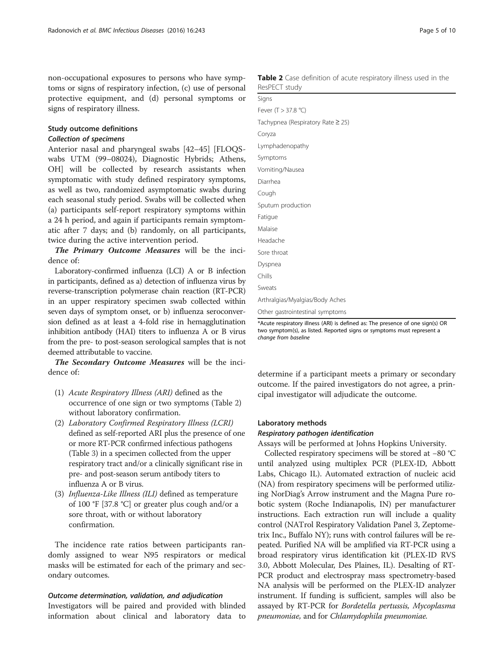non-occupational exposures to persons who have symptoms or signs of respiratory infection, (c) use of personal protective equipment, and (d) personal symptoms or signs of respiratory illness.

# Study outcome definitions

# Collection of specimens

Anterior nasal and pharyngeal swabs [[42](#page-9-0)–[45](#page-9-0)] [FLOQSwabs UTM (99–08024), Diagnostic Hybrids; Athens, OH] will be collected by research assistants when symptomatic with study defined respiratory symptoms, as well as two, randomized asymptomatic swabs during each seasonal study period. Swabs will be collected when (a) participants self-report respiratory symptoms within a 24 h period, and again if participants remain symptomatic after 7 days; and (b) randomly, on all participants, twice during the active intervention period.

The Primary Outcome Measures will be the incidence of:

Laboratory-confirmed influenza (LCI) A or B infection in participants, defined as a) detection of influenza virus by reverse-transcription polymerase chain reaction (RT-PCR) in an upper respiratory specimen swab collected within seven days of symptom onset, or b) influenza seroconversion defined as at least a 4-fold rise in hemagglutination inhibition antibody (HAI) titers to influenza A or B virus from the pre- to post-season serological samples that is not deemed attributable to vaccine.

The Secondary Outcome Measures will be the incidence of:

- (1) Acute Respiratory Illness (ARI) defined as the occurrence of one sign or two symptoms (Table 2) without laboratory confirmation.
- (2) Laboratory Confirmed Respiratory Illness (LCRI) defined as self-reported ARI plus the presence of one or more RT-PCR confirmed infectious pathogens (Table [3\)](#page-5-0) in a specimen collected from the upper respiratory tract and/or a clinically significant rise in pre- and post-season serum antibody titers to influenza A or B virus.
- (3) Influenza-Like Illness (ILI) defined as temperature of 100 °F [37.8 °C] or greater plus cough and/or a sore throat, with or without laboratory confirmation.

The incidence rate ratios between participants randomly assigned to wear N95 respirators or medical masks will be estimated for each of the primary and secondary outcomes.

#### Outcome determination, validation, and adjudication

Investigators will be paired and provided with blinded information about clinical and laboratory data to

Table 2 Case definition of acute respiratory illness used in the ResPECT study

| 1.1                               |
|-----------------------------------|
| Signs                             |
| Fever (T > 37.8 °C)               |
| Tachypnea (Respiratory Rate ≥ 25) |
| Coryza                            |
| Lymphadenopathy                   |
| Symptoms                          |
| Vomiting/Nausea                   |
| Diarrhea                          |
| Cough                             |
| Sputum production                 |
| Fatigue                           |
| Malaise                           |
| Headache                          |
| Sore throat                       |
| Dyspnea                           |
| Chills                            |
| Sweats                            |
| Arthralgias/Myalgias/Body Aches   |
| Other gastrointestinal symptoms   |

\*Acute respiratory illness (ARI) is defined as: The presence of one sign(s) OR two symptom(s), as listed. Reported signs or symptoms must represent a change from baseline change from baseline

determine if a participant meets a primary or secondary outcome. If the paired investigators do not agree, a principal investigator will adjudicate the outcome.

#### Laboratory methods

# Respiratory pathogen identification

Assays will be performed at Johns Hopkins University.

Collected respiratory specimens will be stored at −80 °C until analyzed using multiplex PCR (PLEX-ID, Abbott Labs, Chicago IL). Automated extraction of nucleic acid (NA) from respiratory specimens will be performed utilizing NorDiag's Arrow instrument and the Magna Pure robotic system (Roche Indianapolis, IN) per manufacturer instructions. Each extraction run will include a quality control (NATrol Respiratory Validation Panel 3, Zeptometrix Inc., Buffalo NY); runs with control failures will be repeated. Purified NA will be amplified via RT-PCR using a broad respiratory virus identification kit (PLEX-ID RVS 3.0, Abbott Molecular, Des Plaines, IL). Desalting of RT-PCR product and electrospray mass spectrometry-based NA analysis will be performed on the PLEX-ID analyzer instrument. If funding is sufficient, samples will also be assayed by RT-PCR for Bordetella pertussis, Mycoplasma pneumoniae, and for Chlamydophila pneumoniae.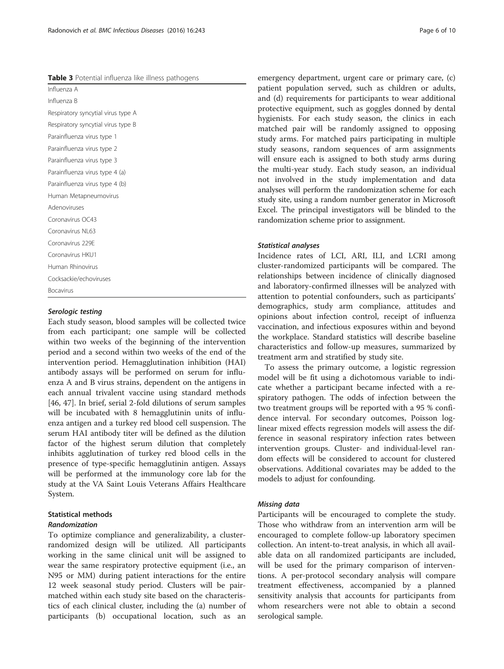<span id="page-5-0"></span>Table 3 Potential influenza like illness pathogens

| Influenza A                        |  |  |
|------------------------------------|--|--|
| Influenza B                        |  |  |
| Respiratory syncytial virus type A |  |  |
| Respiratory syncytial virus type B |  |  |
| Parainfluenza virus type 1         |  |  |
| Parainfluenza virus type 2         |  |  |
| Parainfluenza virus type 3         |  |  |
| Parainfluenza virus type 4 (a)     |  |  |
| Parainfluenza virus type 4 (b)     |  |  |
| Human Metapneumovirus              |  |  |
| Adenoviruses                       |  |  |
| Coronavirus OC43                   |  |  |
| Coronavirus NL63                   |  |  |
| Coronavirus 229E                   |  |  |
| Coronavirus HKU1                   |  |  |
| Human Rhinovirus                   |  |  |
| Cocksackie/echoviruses             |  |  |
| <b>Bocavirus</b>                   |  |  |

# Serologic testing

Each study season, blood samples will be collected twice from each participant; one sample will be collected within two weeks of the beginning of the intervention period and a second within two weeks of the end of the intervention period. Hemagglutination inhibition (HAI) antibody assays will be performed on serum for influenza A and B virus strains, dependent on the antigens in each annual trivalent vaccine using standard methods [[46, 47\]](#page-9-0). In brief, serial 2-fold dilutions of serum samples will be incubated with 8 hemagglutinin units of influenza antigen and a turkey red blood cell suspension. The serum HAI antibody titer will be defined as the dilution factor of the highest serum dilution that completely inhibits agglutination of turkey red blood cells in the presence of type-specific hemagglutinin antigen. Assays will be performed at the immunology core lab for the study at the VA Saint Louis Veterans Affairs Healthcare System.

# Statistical methods

# Randomization

To optimize compliance and generalizability, a clusterrandomized design will be utilized. All participants working in the same clinical unit will be assigned to wear the same respiratory protective equipment (i.e., an N95 or MM) during patient interactions for the entire 12 week seasonal study period. Clusters will be pairmatched within each study site based on the characteristics of each clinical cluster, including the (a) number of participants (b) occupational location, such as an emergency department, urgent care or primary care, (c) patient population served, such as children or adults, and (d) requirements for participants to wear additional protective equipment, such as goggles donned by dental hygienists. For each study season, the clinics in each matched pair will be randomly assigned to opposing study arms. For matched pairs participating in multiple study seasons, random sequences of arm assignments will ensure each is assigned to both study arms during the multi-year study. Each study season, an individual not involved in the study implementation and data analyses will perform the randomization scheme for each study site, using a random number generator in Microsoft Excel. The principal investigators will be blinded to the randomization scheme prior to assignment.

# Statistical analyses

Incidence rates of LCI, ARI, ILI, and LCRI among cluster-randomized participants will be compared. The relationships between incidence of clinically diagnosed and laboratory-confirmed illnesses will be analyzed with attention to potential confounders, such as participants' demographics, study arm compliance, attitudes and opinions about infection control, receipt of influenza vaccination, and infectious exposures within and beyond the workplace. Standard statistics will describe baseline characteristics and follow-up measures, summarized by treatment arm and stratified by study site.

To assess the primary outcome, a logistic regression model will be fit using a dichotomous variable to indicate whether a participant became infected with a respiratory pathogen. The odds of infection between the two treatment groups will be reported with a 95 % confidence interval. For secondary outcomes, Poisson loglinear mixed effects regression models will assess the difference in seasonal respiratory infection rates between intervention groups. Cluster- and individual-level random effects will be considered to account for clustered observations. Additional covariates may be added to the models to adjust for confounding.

# Missing data

Participants will be encouraged to complete the study. Those who withdraw from an intervention arm will be encouraged to complete follow-up laboratory specimen collection. An intent-to-treat analysis, in which all available data on all randomized participants are included, will be used for the primary comparison of interventions. A per-protocol secondary analysis will compare treatment effectiveness, accompanied by a planned sensitivity analysis that accounts for participants from whom researchers were not able to obtain a second serological sample.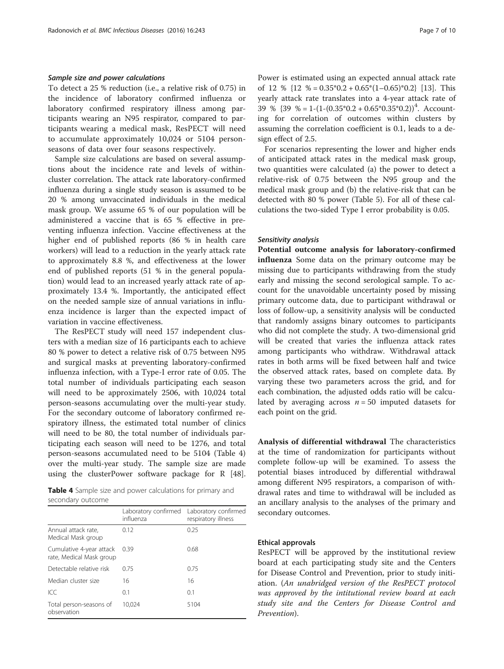# Sample size and power calculations

To detect a 25 % reduction (i.e., a relative risk of 0.75) in the incidence of laboratory confirmed influenza or laboratory confirmed respiratory illness among participants wearing an N95 respirator, compared to participants wearing a medical mask, ResPECT will need to accumulate approximately 10,024 or 5104 personseasons of data over four seasons respectively.

Sample size calculations are based on several assumptions about the incidence rate and levels of withincluster correlation. The attack rate laboratory-confirmed influenza during a single study season is assumed to be 20 % among unvaccinated individuals in the medical mask group. We assume 65 % of our population will be administered a vaccine that is 65 % effective in preventing influenza infection. Vaccine effectiveness at the higher end of published reports (86 % in health care workers) will lead to a reduction in the yearly attack rate to approximately 8.8 %, and effectiveness at the lower end of published reports (51 % in the general population) would lead to an increased yearly attack rate of approximately 13.4 %. Importantly, the anticipated effect on the needed sample size of annual variations in influenza incidence is larger than the expected impact of variation in vaccine effectiveness.

The ResPECT study will need 157 independent clusters with a median size of 16 participants each to achieve 80 % power to detect a relative risk of 0.75 between N95 and surgical masks at preventing laboratory-confirmed influenza infection, with a Type-I error rate of 0.05. The total number of individuals participating each season will need to be approximately 2506, with 10,024 total person-seasons accumulating over the multi-year study. For the secondary outcome of laboratory confirmed respiratory illness, the estimated total number of clinics will need to be 80, the total number of individuals participating each season will need to be 1276, and total person-seasons accumulated need to be 5104 (Table 4) over the multi-year study. The sample size are made using the clusterPower software package for R [\[48](#page-9-0)].

Table 4 Sample size and power calculations for primary and secondary outcome

|                                                      | Laboratory confirmed<br>influenza | Laboratory confirmed<br>respiratory illness |  |  |
|------------------------------------------------------|-----------------------------------|---------------------------------------------|--|--|
| Annual attack rate,<br>Medical Mask group            | 0.12                              | 0.25                                        |  |  |
| Cumulative 4-year attack<br>rate, Medical Mask group | 0.39                              | 0.68                                        |  |  |
| Detectable relative risk                             | 0.75                              | 0.75                                        |  |  |
| Median cluster size                                  | 16                                | 16                                          |  |  |
| ICC                                                  | 0.1                               | 0.1                                         |  |  |
| Total person-seasons of<br>observation               | 10.024                            | 5104                                        |  |  |

Power is estimated using an expected annual attack rate of 12 %  $\{12\% = 0.35^*0.2 + 0.65^*(1 - 0.65)^*0.2\}$  [[13](#page-8-0)]. This yearly attack rate translates into a 4-year attack rate of 39 %  $\{39\% = 1 - (1 - (0.35^*0.2 + 0.65^*0.35^*0.2))^4$ . Accounting for correlation of outcomes within clusters by assuming the correlation coefficient is 0.1, leads to a design effect of 2.5.

For scenarios representing the lower and higher ends of anticipated attack rates in the medical mask group, two quantities were calculated (a) the power to detect a relative-risk of 0.75 between the N95 group and the medical mask group and (b) the relative-risk that can be detected with 80 % power (Table [5](#page-7-0)). For all of these calculations the two-sided Type I error probability is 0.05.

#### Sensitivity analysis

Potential outcome analysis for laboratory-confirmed influenza Some data on the primary outcome may be missing due to participants withdrawing from the study early and missing the second serological sample. To account for the unavoidable uncertainty posed by missing primary outcome data, due to participant withdrawal or loss of follow-up, a sensitivity analysis will be conducted that randomly assigns binary outcomes to participants who did not complete the study. A two-dimensional grid will be created that varies the influenza attack rates among participants who withdraw. Withdrawal attack rates in both arms will be fixed between half and twice the observed attack rates, based on complete data. By varying these two parameters across the grid, and for each combination, the adjusted odds ratio will be calculated by averaging across  $n = 50$  imputed datasets for each point on the grid.

Analysis of differential withdrawal The characteristics at the time of randomization for participants without complete follow-up will be examined. To assess the potential biases introduced by differential withdrawal among different N95 respirators, a comparison of withdrawal rates and time to withdrawal will be included as an ancillary analysis to the analyses of the primary and secondary outcomes.

# Ethical approvals

ResPECT will be approved by the institutional review board at each participating study site and the Centers for Disease Control and Prevention, prior to study initiation. (An unabridged version of the ResPECT protocol was approved by the intitutional review board at each study site and the Centers for Disease Control and Prevention).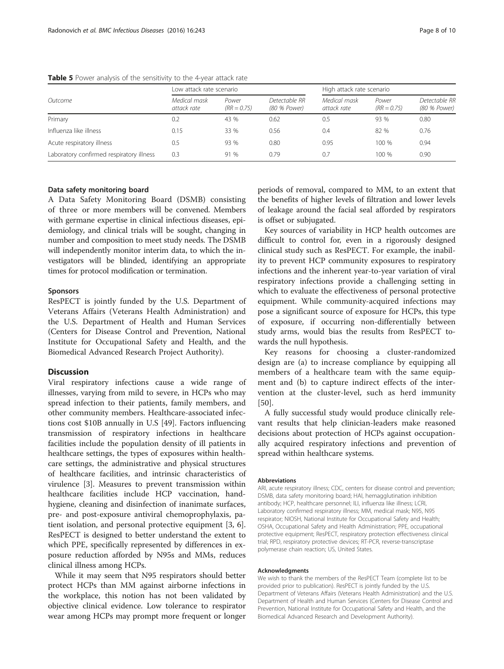| Outcome                                  | Low attack rate scenario    |                        |                               | High attack rate scenario   |                        |                               |
|------------------------------------------|-----------------------------|------------------------|-------------------------------|-----------------------------|------------------------|-------------------------------|
|                                          | Medical mask<br>attack rate | Power<br>$(RR = 0.75)$ | Detectable RR<br>(80 % Power) | Medical mask<br>attack rate | Power<br>$(RR = 0.75)$ | Detectable RR<br>(80 % Power) |
| Primary                                  | 0.2                         | 43 %                   | 0.62                          | 0.5                         | 93 %                   | 0.80                          |
| Influenza like illness                   | 0.15                        | 33 %                   | 0.56                          | 0.4                         | 82 %                   | 0.76                          |
| Acute respiratory illness                | 0.5                         | 93 %                   | 0.80                          | 0.95                        | 100 %                  | 0.94                          |
| Laboratory confirmed respiratory illness | 0.3                         | 91 %                   | 0.79                          | 0.7                         | 100 %                  | 0.90                          |

<span id="page-7-0"></span>Table 5 Power analysis of the sensitivity to the 4-year attack rate

# Data safety monitoring board

A Data Safety Monitoring Board (DSMB) consisting of three or more members will be convened. Members with germane expertise in clinical infectious diseases, epidemiology, and clinical trials will be sought, changing in number and composition to meet study needs. The DSMB will independently monitor interim data, to which the investigators will be blinded, identifying an appropriate times for protocol modification or termination.

# Sponsors

ResPECT is jointly funded by the U.S. Department of Veterans Affairs (Veterans Health Administration) and the U.S. Department of Health and Human Services (Centers for Disease Control and Prevention, National Institute for Occupational Safety and Health, and the Biomedical Advanced Research Project Authority).

## **Discussion**

Viral respiratory infections cause a wide range of illnesses, varying from mild to severe, in HCPs who may spread infection to their patients, family members, and other community members. Healthcare-associated infections cost \$10B annually in U.S [[49\]](#page-9-0). Factors influencing transmission of respiratory infections in healthcare facilities include the population density of ill patients in healthcare settings, the types of exposures within healthcare settings, the administrative and physical structures of healthcare facilities, and intrinsic characteristics of virulence [[3\]](#page-8-0). Measures to prevent transmission within healthcare facilities include HCP vaccination, handhygiene, cleaning and disinfection of inanimate surfaces, pre- and post-exposure antiviral chemoprophylaxis, patient isolation, and personal protective equipment [[3, 6](#page-8-0)]. ResPECT is designed to better understand the extent to which PPE, specifically represented by differences in exposure reduction afforded by N95s and MMs, reduces clinical illness among HCPs.

While it may seem that N95 respirators should better protect HCPs than MM against airborne infections in the workplace, this notion has not been validated by objective clinical evidence. Low tolerance to respirator wear among HCPs may prompt more frequent or longer periods of removal, compared to MM, to an extent that the benefits of higher levels of filtration and lower levels of leakage around the facial seal afforded by respirators is offset or subjugated.

Key sources of variability in HCP health outcomes are difficult to control for, even in a rigorously designed clinical study such as ResPECT. For example, the inability to prevent HCP community exposures to respiratory infections and the inherent year-to-year variation of viral respiratory infections provide a challenging setting in which to evaluate the effectiveness of personal protective equipment. While community-acquired infections may pose a significant source of exposure for HCPs, this type of exposure, if occurring non-differentially between study arms, would bias the results from ResPECT towards the null hypothesis.

Key reasons for choosing a cluster-randomized design are (a) to increase compliance by equipping all members of a healthcare team with the same equipment and (b) to capture indirect effects of the intervention at the cluster-level, such as herd immunity [[50\]](#page-9-0).

A fully successful study would produce clinically relevant results that help clinician-leaders make reasoned decisions about protection of HCPs against occupationally acquired respiratory infections and prevention of spread within healthcare systems.

#### Abbreviations

ARI, acute respiratory illness; CDC, centers for disease control and prevention; DSMB, data safety monitoring board; HAI, hemagglutination inhibition antibody; HCP, healthcare personnel; ILI, influenza like illness; LCRI, Laboratory confirmed respiratory illness; MM, medical mask; N95, N95 respirator; NIOSH, National Institute for Occupational Safety and Health; OSHA, Occupational Safety and Health Administration; PPE, occupational protective equipment; ResPECT, respiratory protection effectiveness clinical trial; RPD, respiratory protective devices; RT-PCR, reverse-transcriptase polymerase chain reaction; US, United States.

#### Acknowledgments

We wish to thank the members of the ResPECT Team (complete list to be provided prior to publication). ResPECT is jointly funded by the U.S. Department of Veterans Affairs (Veterans Health Administration) and the U.S. Department of Health and Human Services (Centers for Disease Control and Prevention, National Institute for Occupational Safety and Health, and the Biomedical Advanced Research and Development Authority).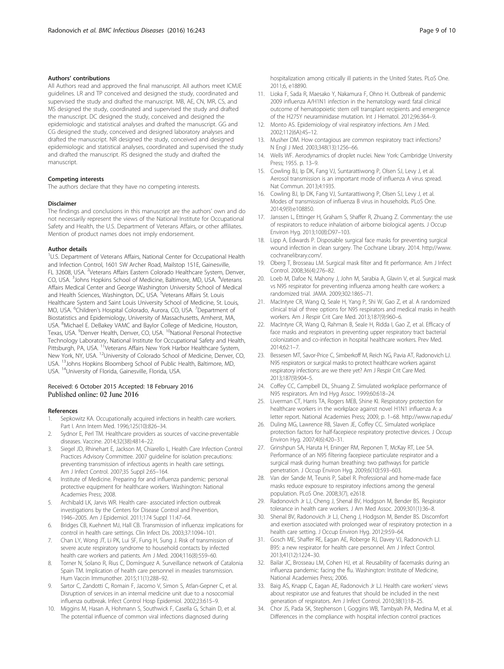## <span id="page-8-0"></span>Authors' contributions

All Authors read and approved the final manuscript. All authors meet ICMJE guidelines. LR and TP conceived and designed the study, coordinated and supervised the study and drafted the manuscript. MB, AE, CN, MR, CS, and MS designed the study, coordinated and supervised the study and drafted the manuscript. DC designed the study, conceived and designed the epidemiologic and statistical analyses and drafted the manuscript. GG and CG designed the study, conceived and designed laboratory analyses and drafted the manuscript. NR designed the study, conceived and designed epidemiologic and statistical analyses, coordinated and supervised the study and drafted the manuscript. RS designed the study and drafted the manuscript.

#### Competing interests

The authors declare that they have no competing interests.

#### Disclaimer

The findings and conclusions in this manuscript are the authors' own and do not necessarily represent the views of the National Institute for Occupational Safety and Health, the U.S. Department of Veterans Affairs, or other affiliates. Mention of product names does not imply endorsement.

#### Author details

<sup>1</sup>U.S. Department of Veterans Affairs, National Center for Occupational Health and Infection Control, 1601 SW Archer Road, Mailstop 151E, Gainesville, FL 32608, USA. <sup>2</sup>Veterans Affairs Eastern Colorado Healthcare System, Denver, CO, USA. <sup>3</sup>Johns Hopkins School of Medicine, Baltimore, MD, USA. <sup>4</sup>Veterans Affairs Medical Center and George Washington University School of Medical and Health Sciences, Washington, DC, USA. <sup>5</sup>Veterans Affairs St. Louis Healthcare System and Saint Louis University School of Medicine, St. Louis, MO, USA. <sup>6</sup>Children's Hospital Colorado, Aurora, CO, USA. <sup>7</sup>Department of Biostatistics and Epidemiology, University of Massachusetts, Amherst, MA, USA. <sup>8</sup>Michael E. DeBakey VAMC and Baylor College of Medicine, Houston, Texas, USA. <sup>9</sup>Denver Health, Denver, CO, USA. <sup>10</sup>National Personal Protective Technology Laboratory, National Institute for Occupational Safety and Health, Pittsburgh, PA, USA. <sup>11</sup>Veterans Affairs New York Harbor Healthcare System, New York, NY, USA. <sup>12</sup>University of Colorado School of Medicine, Denver, CO, USA. 13Johns Hopkins Bloomberg School of Public Health, Baltimore, MD, USA. 14University of Florida, Gainesville, Florida, USA.

# Received: 6 October 2015 Accepted: 18 February 2016 Published online: 02 June 2016

#### References

- Sepkowitz KA. Occupationally acquired infections in health care workers. Part I. Ann Intern Med. 1996;125(10):826–34.
- 2. Sydnor E, Perl TM. Healthcare providers as sources of vaccine-preventable diseases. Vaccine. 2014;32(38):4814–22.
- 3. Siegel JD, Rhinehart E, Jackson M, Chiarello L, Health Care Infection Control Practices Advisory Committee. 2007 guideline for isolation precautions: preventing transmission of infectious agents in health care settings. Am J Infect Control. 2007;35 Suppl 2:65–164.
- Institute of Medicine. Preparing for and influenza pandemic: personal protective equipment for healthcare workers. Washington: National Academies Press; 2008.
- 5. Archibald LK, Jarvis WR. Health care- associated infection outbreak investigations by the Centers for Disease Control and Prevention, 1946–2005. Am J Epidemiol. 2011;174 Suppl 11:47–64.
- 6. Bridges CB, Kuehnert MJ, Hall CB. Transmission of influenza: implications for control in health care settings. Clin Infect Dis. 2003;37:1094–101.
- 7. Chan LY, Wong JT, Li PK, Lui SF, Fung H, Sung J. Risk of transmission of severe acute respiratory syndrome to household contacts by infected health care workers and patients. Am J Med. 2004;116(8):559–60.
- 8. Torner N, Solano R, Rius C, Domínguez A. Surveillance network of Catalonia Spain TM. Implication of health care personnel in measles transmission. Hum Vaccin Immunother. 2015;11(1):288–92.
- Sartor C, Zandotti C, Romain F, Jacomo V, Simon S, Atlan-Gepner C, et al. Disruption of services in an internal medicine unit due to a nosocomial influenza outbreak. Infect Control Hosp Epidemiol. 2002;23:615–9.
- 10. Miggins M, Hasan A, Hohmann S, Southwick F, Casella G, Schain D, et al. The potential influence of common viral infections diagnosed during

hospitalization among critically ill patients in the United States. PLoS One. 2011;6, e18890.

- 11. Lioka F, Sada R, Maesako Y, Nakamura F, Ohno H. Outbreak of pandemic 2009 influenza A/H1N1 infection in the hematology ward: fatal clinical outcome of hematopoietic stem cell transplant recipients and emergence of the H275Y neuraminidase mutation. Int J Hematol. 2012;96:364–9.
- 12. Monto AS. Epidemiology of viral respiratory infections. Am J Med. 2002;112(6A):4S–12.
- 13. Musher DM. How contagious are common respiratory tract infections? N Engl J Med. 2003;348(13):1256–66.
- 14. Wells WF. Aerodynamics of droplet nuclei. New York: Cambridge University Press; 1955. p. 13–9.
- 15. Cowling BJ, Ip DK, Fang VJ, Suntarattiwong P, Olsen SJ, Levy J, et al. Aerosol transmission is an important mode of influenza A virus spread. Nat Commun. 2013;4:1935.
- 16. Cowling BJ, Ip DK, Fang VJ, Suntarattiwong P, Olsen SJ, Levy J, et al. Modes of transmission of influenza B virus in households. PLoS One. 2014;9(9):e108850.
- 17. Janssen L, Ettinger H, Graham S, Shaffer R, Zhuang Z. Commentary: the use of respirators to reduce inhalation of airborne biological agents. J Occup Environ Hyg. 2013;10(8):D97–103.
- 18. Lipp A, Edwards P. Disposable surgical face masks for preventing surgical wound infection in clean surgery. The Cochrane Library. 2014. [http://www.](http://www.cochranelibrary.com/) [cochranelibrary.com/.](http://www.cochranelibrary.com/)
- 19. Oberg T, Brosseau LM. Surgical mask filter and fit performance. Am J Infect Control. 2008;36(4):276–82.
- 20. Loeb M, Dafoe N, Mahony J, John M, Sarabia A, Glavin V, et al. Surgical mask vs N95 respirator for preventing influenza among health care workers: a randomized trial. JAMA. 2009;302:1865–71.
- 21. MacIntyre CR, Wang Q, Seale H, Yang P, Shi W, Gao Z, et al. A randomized clinical trial of three options for N95 respirators and medical masks in health workers. Am J Respir Crit Care Med. 2013;187(9):960–6.
- 22. MacIntyre CR, Wang Q, Rahman B, Seale H, Ridda I, Gao Z, et al. Efficacy of face masks and respirators in preventing upper respiratory tract bacterial colonization and co-infection in hospital healthcare workers. Prev Med. 2014;62:1–7.
- 23. Bessesen MT, Savor-Price C, Simberkoff M, Reich NG, Pavia AT, Radonovich LJ. N95 respirators or surgical masks to protect healthcare workers against respiratory infections: are we there yet? Am J Respir Crit Care Med. 2013;187(9):904–5.
- 24. Coffey CC, Campbell DL, Shuang Z. Simulated workplace performance of N95 respirators. Am Ind Hyg Assoc. 1999;60:618–24.
- 25. Liverman CT, Harris TA, Rogers MEB, Shine KI. Respiratory protection for healthcare workers in the workplace against novel H1N1 influenza A: a letter report. National Academies Press; 2009, p. 1–68.<http://www.nap.edu/>
- 26. Duling MG, Lawrence RB, Slaven JE, Coffey CC. Simulated workplace protection factors for half-facepiece respiratory protective devices. J Occup Environ Hyg. 2007;4(6):420–31.
- 27. Grinshpun SA, Haruta H, Eninger RM, Reponen T, McKay RT, Lee SA. Performance of an N95 filtering facepiece particulate respirator and a surgical mask during human breathing: two pathways for particle penetration. J Occup Environ Hyg. 2009;6(10):593–603.
- 28. Van der Sande M, Teunis P, Sabel R. Professional and home-made face masks reduce exposure to respiratory infections among the general population. PLoS One. 2008;3(7), e2618.
- 29. Radonovich Jr LJ, Cheng J, Shenal BV, Hodgson M, Bender BS. Respirator tolerance in health care workers. J Am Med Assoc. 2009;301(1):36–8.
- 30. Shenal BV, Radonovich Jr LJ, Cheng J, Hodgson M, Bender BS. Discomfort and exertion associated with prolonged wear of respiratory protection in a health care setting. J Occup Environ Hyg. 2012;9:59–64.
- 31. Gosch ME, Shaffer RE, Eagan AE, Roberge RJ, Davey VJ, Radonovich LJ. B95: a new respirator for health care personnel. Am J Infect Control. 2013;41(12):1224–30.
- 32. Bailar JC, Brosseau LM, Cohen HJ, et al. Reusability of facemasks during an influenza pandemic: facing the flu. Washington: Institute of Medicine, National Academies Press; 2006.
- 33. Baig AS, Knapp C, Eagan AE, Radonovich Jr LJ. Health care workers' views about respirator use and features that should be included in the next generation of respirators. Am J Infect Control. 2010;38(1):18–25.
- 34. Chor JS, Pada SK, Stephenson I, Goggins WB, Tambyah PA, Medina M, et al. Differences in the compliance with hospital infection control practices